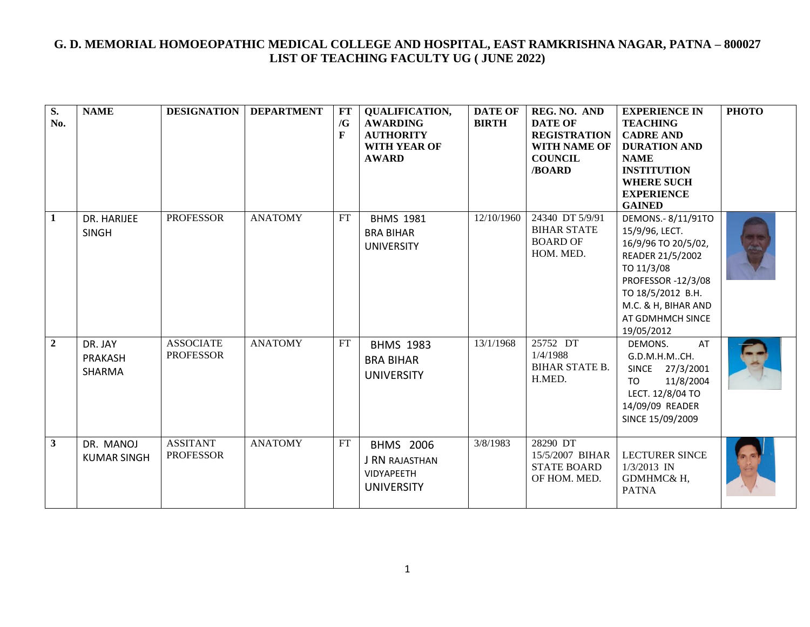| $\overline{\mathbf{S}}$ .<br>No. | <b>NAME</b>                         | <b>DESIGNATION</b>                   | <b>DEPARTMENT</b> | FT<br>/G<br>$\mathbf{F}$   | <b>QUALIFICATION,</b><br><b>AWARDING</b><br><b>AUTHORITY</b><br><b>WITH YEAR OF</b><br><b>AWARD</b> | <b>DATE OF</b><br><b>BIRTH</b> | REG. NO. AND<br><b>DATE OF</b><br><b>REGISTRATION</b><br><b>WITH NAME OF</b><br><b>COUNCIL</b><br>/BOARD | <b>EXPERIENCE IN</b><br><b>TEACHING</b><br><b>CADRE AND</b><br><b>DURATION AND</b><br><b>NAME</b><br><b>INSTITUTION</b><br><b>WHERE SUCH</b><br><b>EXPERIENCE</b><br><b>GAINED</b>                | <b>РНОТО</b> |
|----------------------------------|-------------------------------------|--------------------------------------|-------------------|----------------------------|-----------------------------------------------------------------------------------------------------|--------------------------------|----------------------------------------------------------------------------------------------------------|---------------------------------------------------------------------------------------------------------------------------------------------------------------------------------------------------|--------------|
| 1                                | DR. HARIJEE<br><b>SINGH</b>         | <b>PROFESSOR</b>                     | <b>ANATOMY</b>    | FT                         | <b>BHMS 1981</b><br><b>BRA BIHAR</b><br><b>UNIVERSITY</b>                                           | 12/10/1960                     | 24340 DT 5/9/91<br><b>BIHAR STATE</b><br><b>BOARD OF</b><br>HOM. MED.                                    | DEMONS.- 8/11/91TO<br>15/9/96, LECT.<br>16/9/96 TO 20/5/02,<br>READER 21/5/2002<br>TO 11/3/08<br>PROFESSOR -12/3/08<br>TO 18/5/2012 B.H.<br>M.C. & H, BIHAR AND<br>AT GDMHMCH SINCE<br>19/05/2012 |              |
| $\overline{2}$                   | DR. JAY<br><b>PRAKASH</b><br>SHARMA | <b>ASSOCIATE</b><br><b>PROFESSOR</b> | <b>ANATOMY</b>    | $\mathop{\rm FT}\nolimits$ | <b>BHMS 1983</b><br><b>BRA BIHAR</b><br><b>UNIVERSITY</b>                                           | 13/1/1968                      | 25752 DT<br>1/4/1988<br><b>BIHAR STATE B.</b><br>H.MED.                                                  | DEMONS.<br>AT<br>G.D.M.H.MCH.<br>SINCE 27/3/2001<br>TO<br>11/8/2004<br>LECT. 12/8/04 TO<br>14/09/09 READER<br>SINCE 15/09/2009                                                                    |              |
| $\mathbf{3}$                     | DR. MANOJ<br><b>KUMAR SINGH</b>     | <b>ASSITANT</b><br><b>PROFESSOR</b>  | <b>ANATOMY</b>    | FT                         | <b>BHMS 2006</b><br><b>J RN RAJASTHAN</b><br>VIDYAPEETH<br><b>UNIVERSITY</b>                        | 3/8/1983                       | 28290 DT<br>15/5/2007 BIHAR<br><b>STATE BOARD</b><br>OF HOM. MED.                                        | <b>LECTURER SINCE</b><br>$1/3/2013$ IN<br>GDMHMC& H,<br><b>PATNA</b>                                                                                                                              |              |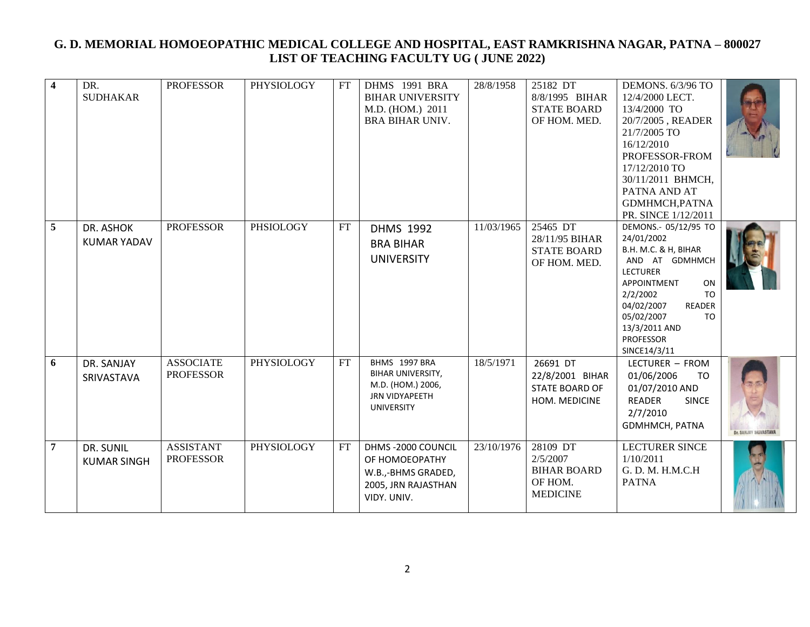| $\overline{\mathbf{4}}$ | DR.<br><b>SUDHAKAR</b>          | <b>PROFESSOR</b>                     | PHYSIOLOGY        | FT | DHMS 1991 BRA<br><b>BIHAR UNIVERSITY</b><br>M.D. (HOM.) 2011<br><b>BRA BIHAR UNIV.</b>          | 28/8/1958  | 25182 DT<br>8/8/1995 BIHAR<br><b>STATE BOARD</b><br>OF HOM. MED.         | DEMONS. 6/3/96 TO<br>12/4/2000 LECT.<br>13/4/2000 TO<br>20/7/2005, READER<br>21/7/2005 TO<br>16/12/2010<br>PROFESSOR-FROM<br>17/12/2010 TO<br>30/11/2011 BHMCH,<br>PATNA AND AT<br>GDMHMCH, PATNA<br>PR. SINCE 1/12/2011                               |                       |
|-------------------------|---------------------------------|--------------------------------------|-------------------|----|-------------------------------------------------------------------------------------------------|------------|--------------------------------------------------------------------------|--------------------------------------------------------------------------------------------------------------------------------------------------------------------------------------------------------------------------------------------------------|-----------------------|
| 5                       | DR. ASHOK<br><b>KUMAR YADAV</b> | <b>PROFESSOR</b>                     | PHSIOLOGY         | FT | <b>DHMS 1992</b><br><b>BRA BIHAR</b><br><b>UNIVERSITY</b>                                       | 11/03/1965 | 25465 DT<br>28/11/95 BIHAR<br><b>STATE BOARD</b><br>OF HOM. MED.         | DEMONS .- 05/12/95 TO<br>24/01/2002<br>B.H. M.C. & H, BIHAR<br>AND AT GDMHMCH<br><b>LECTURER</b><br>APPOINTMENT<br>ON<br>2/2/2002<br><b>TO</b><br>04/02/2007<br><b>READER</b><br>05/02/2007<br>TO<br>13/3/2011 AND<br><b>PROFESSOR</b><br>SINCE14/3/11 |                       |
| 6                       | DR. SANJAY<br>SRIVASTAVA        | <b>ASSOCIATE</b><br><b>PROFESSOR</b> | <b>PHYSIOLOGY</b> | FT | BHMS 1997 BRA<br>BIHAR UNIVERSITY,<br>M.D. (HOM.) 2006,<br>JRN VIDYAPEETH<br><b>UNIVERSITY</b>  | 18/5/1971  | 26691 DT<br>22/8/2001 BIHAR<br>STATE BOARD OF<br>HOM. MEDICINE           | LECTURER - FROM<br>01/06/2006<br>TO<br>01/07/2010 AND<br><b>READER</b><br><b>SINCE</b><br>2/7/2010<br>GDMHMCH, PATNA                                                                                                                                   | Dr. SANJAY SKIVASTAVA |
| $\overline{7}$          | DR. SUNIL<br><b>KUMAR SINGH</b> | <b>ASSISTANT</b><br><b>PROFESSOR</b> | <b>PHYSIOLOGY</b> | FT | DHMS-2000 COUNCIL<br>OF HOMOEOPATHY<br>W.B.,-BHMS GRADED,<br>2005, JRN RAJASTHAN<br>VIDY. UNIV. | 23/10/1976 | 28109 DT<br>2/5/2007<br><b>BIHAR BOARD</b><br>OF HOM.<br><b>MEDICINE</b> | <b>LECTURER SINCE</b><br>1/10/2011<br>G. D. M. H.M.C.H<br><b>PATNA</b>                                                                                                                                                                                 |                       |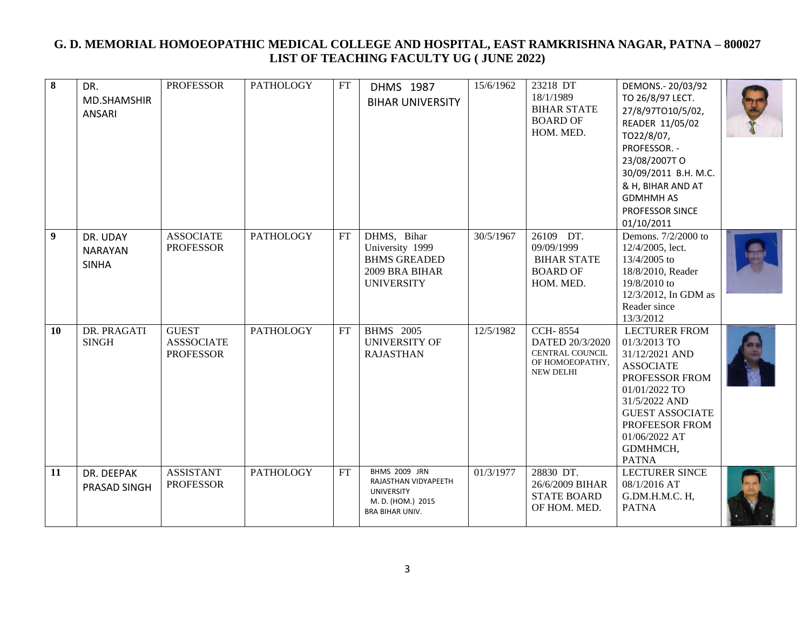| $\bf{8}$         | DR.<br>MD.SHAMSHIR<br>ANSARI               | <b>PROFESSOR</b>                                      | <b>PATHOLOGY</b> | FT | DHMS 1987<br><b>BIHAR UNIVERSITY</b>                                                                             | 15/6/1962 | 23218 DT<br>18/1/1989<br><b>BIHAR STATE</b><br><b>BOARD OF</b><br>HOM. MED.                         | DEMONS .- 20/03/92<br>TO 26/8/97 LECT.<br>27/8/97TO10/5/02,<br>READER 11/05/02<br>TO22/8/07,<br>PROFESSOR. -<br>23/08/2007TO<br>30/09/2011 B.H. M.C.<br>& H, BIHAR AND AT<br><b>GDMHMH AS</b><br>PROFESSOR SINCE<br>01/10/2011 |  |
|------------------|--------------------------------------------|-------------------------------------------------------|------------------|----|------------------------------------------------------------------------------------------------------------------|-----------|-----------------------------------------------------------------------------------------------------|--------------------------------------------------------------------------------------------------------------------------------------------------------------------------------------------------------------------------------|--|
| $\boldsymbol{9}$ | DR. UDAY<br><b>NARAYAN</b><br><b>SINHA</b> | <b>ASSOCIATE</b><br><b>PROFESSOR</b>                  | <b>PATHOLOGY</b> | FT | DHMS, Bihar<br>University 1999<br><b>BHMS GREADED</b><br>2009 BRA BIHAR<br><b>UNIVERSITY</b>                     | 30/5/1967 | 26109 DT.<br>09/09/1999<br><b>BIHAR STATE</b><br><b>BOARD OF</b><br>HOM. MED.                       | Demons. 7/2/2000 to<br>12/4/2005, lect.<br>13/4/2005 to<br>18/8/2010, Reader<br>19/8/2010 to<br>12/3/2012, In GDM as<br>Reader since<br>13/3/2012                                                                              |  |
| <b>10</b>        | DR. PRAGATI<br><b>SINGH</b>                | <b>GUEST</b><br><b>ASSSOCIATE</b><br><b>PROFESSOR</b> | <b>PATHOLOGY</b> | FT | <b>BHMS</b> 2005<br><b>UNIVERSITY OF</b><br><b>RAJASTHAN</b>                                                     | 12/5/1982 | <b>CCH-8554</b><br>DATED 20/3/2020<br><b>CENTRAL COUNCIL</b><br>ОҒ НОМОЕОРАТНҮ,<br><b>NEW DELHI</b> | <b>LECTURER FROM</b><br>01/3/2013 TO<br>31/12/2021 AND<br><b>ASSOCIATE</b><br>PROFESSOR FROM<br>01/01/2022 TO<br>31/5/2022 AND<br><b>GUEST ASSOCIATE</b><br>PROFEESOR FROM<br>01/06/2022 AT<br>GDMHMCH,<br><b>PATNA</b>        |  |
| 11               | DR. DEEPAK<br>PRASAD SINGH                 | <b>ASSISTANT</b><br><b>PROFESSOR</b>                  | <b>PATHOLOGY</b> | FT | <b>BHMS 2009 JRN</b><br>RAJASTHAN VIDYAPEETH<br><b>UNIVERSITY</b><br>M. D. (HOM.) 2015<br><b>BRA BIHAR UNIV.</b> | 01/3/1977 | 28830 DT.<br>26/6/2009 BIHAR<br><b>STATE BOARD</b><br>OF HOM. MED.                                  | <b>LECTURER SINCE</b><br>08/1/2016 AT<br>G.DM.H.M.C. H,<br><b>PATNA</b>                                                                                                                                                        |  |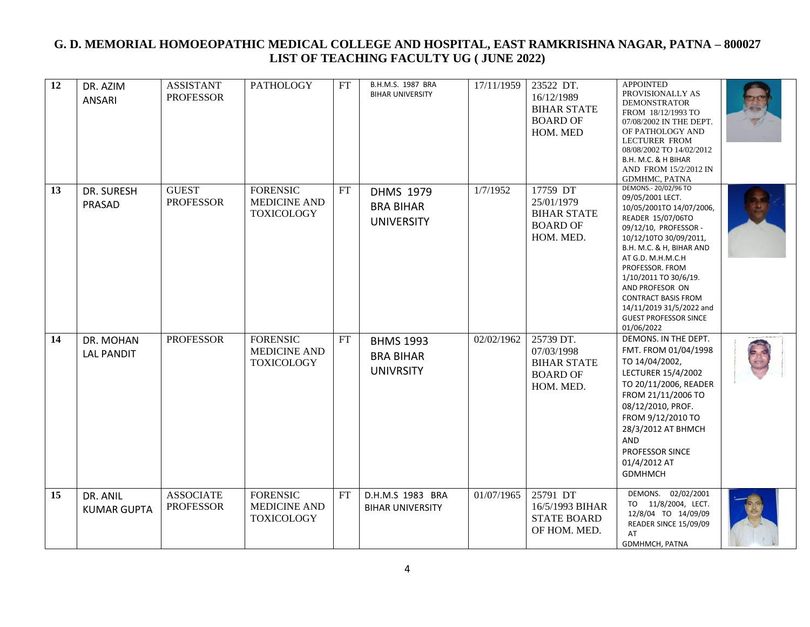| 12 | DR. AZIM<br><b>ANSARI</b>      | <b>ASSISTANT</b><br><b>PROFESSOR</b> | <b>PATHOLOGY</b>                                            | FT | B.H.M.S. 1987 BRA<br><b>BIHAR UNIVERSITY</b>              | 17/11/1959 | 23522 DT.<br>16/12/1989<br><b>BIHAR STATE</b><br><b>BOARD OF</b><br>HOM. MED  | <b>APPOINTED</b><br>PROVISIONALLY AS<br><b>DEMONSTRATOR</b><br>FROM 18/12/1993 TO<br>07/08/2002 IN THE DEPT.<br>OF PATHOLOGY AND<br><b>LECTURER FROM</b><br>08/08/2002 TO 14/02/2012<br>B.H. M.C. & H BIHAR<br>AND FROM 15/2/2012 IN<br>GDMHMC, PATNA                                                                                                                 |  |
|----|--------------------------------|--------------------------------------|-------------------------------------------------------------|----|-----------------------------------------------------------|------------|-------------------------------------------------------------------------------|-----------------------------------------------------------------------------------------------------------------------------------------------------------------------------------------------------------------------------------------------------------------------------------------------------------------------------------------------------------------------|--|
| 13 | DR. SURESH<br>PRASAD           | <b>GUEST</b><br><b>PROFESSOR</b>     | <b>FORENSIC</b><br><b>MEDICINE AND</b><br><b>TOXICOLOGY</b> | FT | <b>DHMS 1979</b><br><b>BRA BIHAR</b><br><b>UNIVERSITY</b> | 1/7/1952   | 17759 DT<br>25/01/1979<br><b>BIHAR STATE</b><br><b>BOARD OF</b><br>HOM. MED.  | DEMONS .- 20/02/96 TO<br>09/05/2001 LECT.<br>10/05/2001TO 14/07/2006,<br>READER 15/07/06TO<br>09/12/10, PROFESSOR -<br>10/12/10TO 30/09/2011,<br>B.H. M.C. & H, BIHAR AND<br>AT G.D. M.H.M.C.H<br>PROFESSOR, FROM<br>1/10/2011 TO 30/6/19.<br>AND PROFESOR ON<br><b>CONTRACT BASIS FROM</b><br>14/11/2019 31/5/2022 and<br><b>GUEST PROFESSOR SINCE</b><br>01/06/2022 |  |
| 14 | DR. MOHAN<br><b>LAL PANDIT</b> | <b>PROFESSOR</b>                     | <b>FORENSIC</b><br><b>MEDICINE AND</b><br><b>TOXICOLOGY</b> | FT | <b>BHMS 1993</b><br><b>BRA BIHAR</b><br><b>UNIVRSITY</b>  | 02/02/1962 | 25739 DT.<br>07/03/1998<br><b>BIHAR STATE</b><br><b>BOARD OF</b><br>HOM. MED. | DEMONS. IN THE DEPT.<br>FMT. FROM 01/04/1998<br>TO 14/04/2002,<br>LECTURER 15/4/2002<br>TO 20/11/2006, READER<br>FROM 21/11/2006 TO<br>08/12/2010, PROF.<br>FROM 9/12/2010 TO<br>28/3/2012 AT BHMCH<br>AND<br>PROFESSOR SINCE<br>01/4/2012 AT<br><b>GDMHMCH</b>                                                                                                       |  |
| 15 | DR. ANIL<br><b>KUMAR GUPTA</b> | <b>ASSOCIATE</b><br><b>PROFESSOR</b> | <b>FORENSIC</b><br><b>MEDICINE AND</b><br><b>TOXICOLOGY</b> | FT | D.H.M.S 1983 BRA<br><b>BIHAR UNIVERSITY</b>               | 01/07/1965 | 25791 DT<br>16/5/1993 BIHAR<br><b>STATE BOARD</b><br>OF HOM. MED.             | DEMONS. 02/02/2001<br>TO 11/8/2004, LECT.<br>12/8/04 TO 14/09/09<br>READER SINCE 15/09/09<br>AT<br>GDMHMCH, PATNA                                                                                                                                                                                                                                                     |  |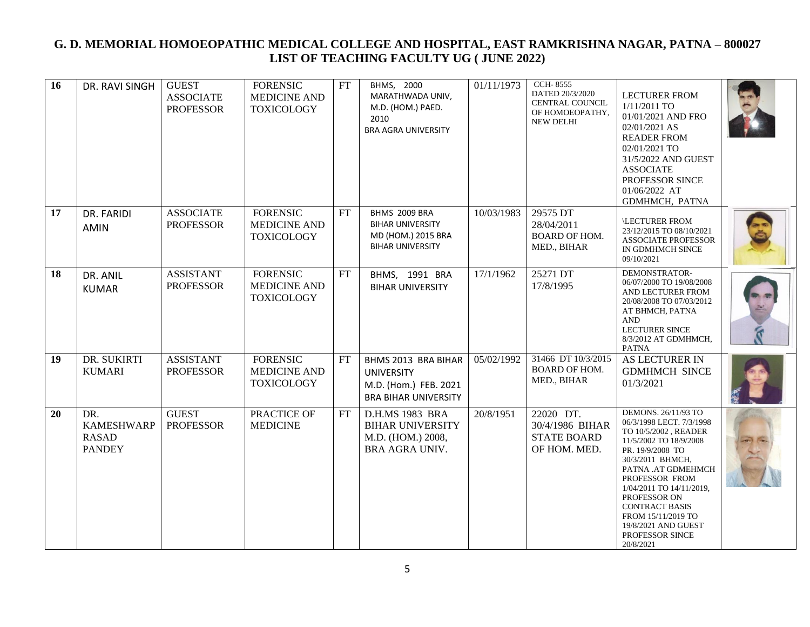| 16 | DR. RAVI SINGH                                            | <b>GUEST</b><br><b>ASSOCIATE</b><br><b>PROFESSOR</b> | <b>FORENSIC</b><br><b>MEDICINE AND</b><br><b>TOXICOLOGY</b> | FT  | BHMS, 2000<br>MARATHWADA UNIV,<br>M.D. (HOM.) PAED.<br>2010<br><b>BRA AGRA UNIVERSITY</b>        | 01/11/1973 | <b>CCH-8555</b><br>DATED 20/3/2020<br>CENTRAL COUNCIL<br>ОҒ НОМОЕОРАТНҮ,<br><b>NEW DELHI</b> | <b>LECTURER FROM</b><br>$1/11/2011$ TO<br>01/01/2021 AND FRO<br>02/01/2021 AS<br><b>READER FROM</b><br>02/01/2021 TO<br>31/5/2022 AND GUEST<br><b>ASSOCIATE</b><br>PROFESSOR SINCE<br>01/06/2022 AT<br>GDMHMCH, PATNA                                                                                                               |  |
|----|-----------------------------------------------------------|------------------------------------------------------|-------------------------------------------------------------|-----|--------------------------------------------------------------------------------------------------|------------|----------------------------------------------------------------------------------------------|-------------------------------------------------------------------------------------------------------------------------------------------------------------------------------------------------------------------------------------------------------------------------------------------------------------------------------------|--|
| 17 | DR. FARIDI<br><b>AMIN</b>                                 | <b>ASSOCIATE</b><br><b>PROFESSOR</b>                 | <b>FORENSIC</b><br><b>MEDICINE AND</b><br><b>TOXICOLOGY</b> | FT  | BHMS 2009 BRA<br><b>BIHAR UNIVERSITY</b><br>MD (HOM.) 2015 BRA<br><b>BIHAR UNIVERSITY</b>        | 10/03/1983 | 29575 DT<br>28/04/2011<br><b>BOARD OF HOM.</b><br>MED., BIHAR                                | <b>LECTURER FROM</b><br>23/12/2015 TO 08/10/2021<br><b>ASSOCIATE PROFESSOR</b><br>IN GDMHMCH SINCE<br>09/10/2021                                                                                                                                                                                                                    |  |
| 18 | DR. ANIL<br><b>KUMAR</b>                                  | <b>ASSISTANT</b><br><b>PROFESSOR</b>                 | <b>FORENSIC</b><br><b>MEDICINE AND</b><br><b>TOXICOLOGY</b> | FT  | BHMS, 1991 BRA<br><b>BIHAR UNIVERSITY</b>                                                        | 17/1/1962  | 25271 DT<br>17/8/1995                                                                        | DEMONSTRATOR-<br>06/07/2000 TO 19/08/2008<br>AND LECTURER FROM<br>20/08/2008 TO 07/03/2012<br>AT BHMCH, PATNA<br><b>AND</b><br><b>LECTURER SINCE</b><br>8/3/2012 AT GDMHMCH,<br>PATNA                                                                                                                                               |  |
| 19 | DR. SUKIRTI<br><b>KUMARI</b>                              | <b>ASSISTANT</b><br><b>PROFESSOR</b>                 | <b>FORENSIC</b><br><b>MEDICINE AND</b><br><b>TOXICOLOGY</b> | FT  | BHMS 2013 BRA BIHAR<br><b>UNIVERSITY</b><br>M.D. (Hom.) FEB. 2021<br><b>BRA BIHAR UNIVERSITY</b> | 05/02/1992 | 31466 DT 10/3/2015<br><b>BOARD OF HOM.</b><br>MED., BIHAR                                    | AS LECTURER IN<br><b>GDMHMCH SINCE</b><br>01/3/2021                                                                                                                                                                                                                                                                                 |  |
| 20 | DR.<br><b>KAMESHWARP</b><br><b>RASAD</b><br><b>PANDEY</b> | <b>GUEST</b><br><b>PROFESSOR</b>                     | PRACTICE OF<br><b>MEDICINE</b>                              | FT. | D.H.MS 1983 BRA<br><b>BIHAR UNIVERSITY</b><br>M.D. (HOM.) 2008,<br>BRA AGRA UNIV.                | 20/8/1951  | 22020 DT.<br>30/4/1986 BIHAR<br><b>STATE BOARD</b><br>OF HOM. MED.                           | DEMONS. 26/11/93 TO<br>06/3/1998 LECT. 7/3/1998<br>TO 10/5/2002, READER<br>11/5/2002 TO 18/9/2008<br>PR. 19/9/2008 TO<br>30/3/2011 BHMCH,<br>PATNA .AT GDMEHMCH<br>PROFESSOR FROM<br>1/04/2011 TO 14/11/2019,<br>PROFESSOR ON<br><b>CONTRACT BASIS</b><br>FROM 15/11/2019 TO<br>19/8/2021 AND GUEST<br>PROFESSOR SINCE<br>20/8/2021 |  |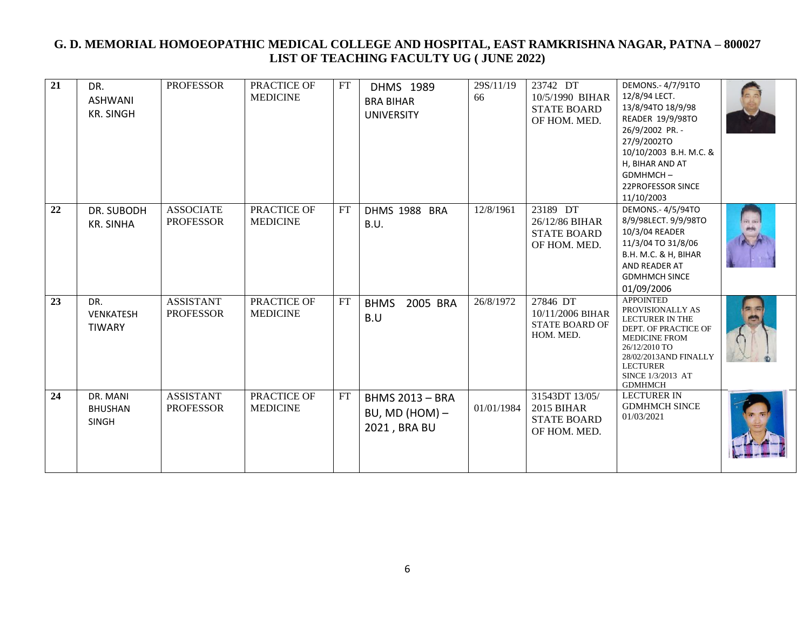| 21 | DR.<br><b>ASHWANI</b><br><b>KR. SINGH</b>  | <b>PROFESSOR</b>                     | PRACTICE OF<br><b>MEDICINE</b> | FT                         | <b>DHMS 1989</b><br><b>BRA BIHAR</b><br><b>UNIVERSITY</b>  | 29S/11/19<br>66 | 23742 DT<br>10/5/1990 BIHAR<br><b>STATE BOARD</b><br>OF HOM. MED.         | DEMONS.-4/7/91TO<br>12/8/94 LECT.<br>13/8/94TO 18/9/98<br>READER 19/9/98TO<br>26/9/2002 PR. -<br>27/9/2002TO<br>10/10/2003 B.H. M.C. &<br>H, BIHAR AND AT<br>GDMHMCH-<br>22PROFESSOR SINCE<br>11/10/2003           |  |
|----|--------------------------------------------|--------------------------------------|--------------------------------|----------------------------|------------------------------------------------------------|-----------------|---------------------------------------------------------------------------|--------------------------------------------------------------------------------------------------------------------------------------------------------------------------------------------------------------------|--|
| 22 | DR. SUBODH<br><b>KR. SINHA</b>             | <b>ASSOCIATE</b><br><b>PROFESSOR</b> | PRACTICE OF<br><b>MEDICINE</b> | FT                         | DHMS 1988 BRA<br>B.U.                                      | 12/8/1961       | 23189 DT<br>26/12/86 BIHAR<br><b>STATE BOARD</b><br>OF HOM. MED.          | DEMONS.- 4/5/94TO<br>8/9/98LECT. 9/9/98TO<br>10/3/04 READER<br>11/3/04 TO 31/8/06<br>B.H. M.C. & H, BIHAR<br>AND READER AT<br><b>GDMHMCH SINCE</b><br>01/09/2006                                                   |  |
| 23 | DR.<br><b>VENKATESH</b><br><b>TIWARY</b>   | <b>ASSISTANT</b><br><b>PROFESSOR</b> | PRACTICE OF<br><b>MEDICINE</b> | $\mathop{\rm FT}\nolimits$ | <b>BHMS</b><br>2005 BRA<br>B.U                             | 26/8/1972       | 27846 DT<br>10/11/2006 BIHAR<br><b>STATE BOARD OF</b><br>HOM. MED.        | <b>APPOINTED</b><br>PROVISIONALLY AS<br><b>LECTURER IN THE</b><br>DEPT. OF PRACTICE OF<br><b>MEDICINE FROM</b><br>26/12/2010 TO<br>28/02/2013AND FINALLY<br><b>LECTURER</b><br>SINCE 1/3/2013 AT<br><b>GDMHMCH</b> |  |
| 24 | DR. MANI<br><b>BHUSHAN</b><br><b>SINGH</b> | <b>ASSISTANT</b><br><b>PROFESSOR</b> | PRACTICE OF<br><b>MEDICINE</b> | FT                         | <b>BHMS 2013 - BRA</b><br>BU, MD (HOM) $-$<br>2021, BRA BU | 01/01/1984      | 31543DT 13/05/<br><b>2015 BIHAR</b><br><b>STATE BOARD</b><br>OF HOM. MED. | <b>LECTURER IN</b><br><b>GDMHMCH SINCE</b><br>01/03/2021                                                                                                                                                           |  |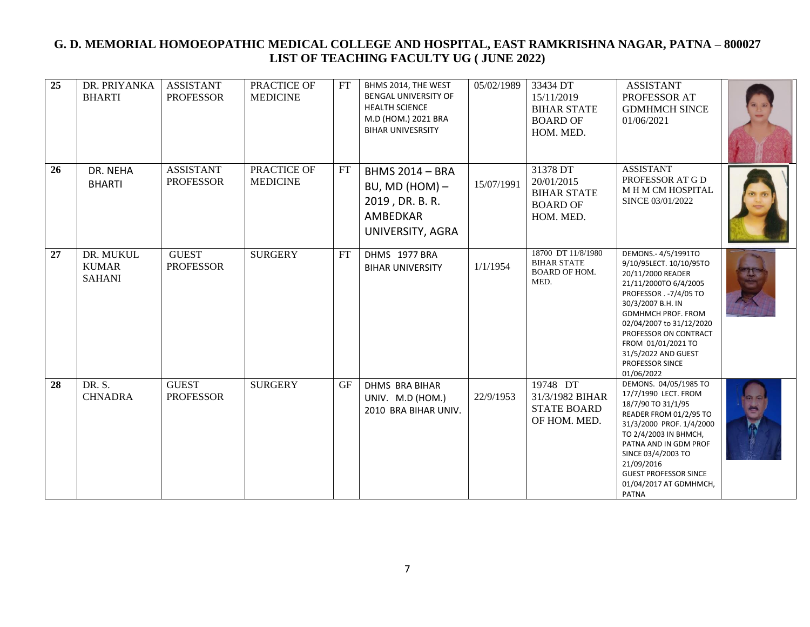| 25 | DR. PRIYANKA<br><b>BHARTI</b>              | <b>ASSISTANT</b><br><b>PROFESSOR</b> | PRACTICE OF<br><b>MEDICINE</b> | FT        | BHMS 2014, THE WEST<br>BENGAL UNIVERSITY OF<br><b>HEALTH SCIENCE</b><br>M.D (HOM.) 2021 BRA<br><b>BIHAR UNIVESRSITY</b> | 05/02/1989 | 33434 DT<br>15/11/2019<br><b>BIHAR STATE</b><br><b>BOARD OF</b><br>HOM. MED. | <b>ASSISTANT</b><br>PROFESSOR AT<br><b>GDMHMCH SINCE</b><br>01/06/2021                                                                                                                                                                                                                                      |  |
|----|--------------------------------------------|--------------------------------------|--------------------------------|-----------|-------------------------------------------------------------------------------------------------------------------------|------------|------------------------------------------------------------------------------|-------------------------------------------------------------------------------------------------------------------------------------------------------------------------------------------------------------------------------------------------------------------------------------------------------------|--|
| 26 | DR. NEHA<br><b>BHARTI</b>                  | <b>ASSISTANT</b><br><b>PROFESSOR</b> | PRACTICE OF<br><b>MEDICINE</b> | FT        | <b>BHMS 2014 - BRA</b><br>BU, MD (HOM) $-$<br>2019, DR. B. R.<br>AMBEDKAR<br>UNIVERSITY, AGRA                           | 15/07/1991 | 31378 DT<br>20/01/2015<br><b>BIHAR STATE</b><br><b>BOARD OF</b><br>HOM. MED. | <b>ASSISTANT</b><br>PROFESSOR AT G D<br><b>MHMCMHOSPITAL</b><br>SINCE 03/01/2022                                                                                                                                                                                                                            |  |
| 27 | DR. MUKUL<br><b>KUMAR</b><br><b>SAHANI</b> | <b>GUEST</b><br><b>PROFESSOR</b>     | <b>SURGERY</b>                 | FT        | DHMS 1977 BRA<br><b>BIHAR UNIVERSITY</b>                                                                                | 1/1/1954   | 18700 DT 11/8/1980<br><b>BIHAR STATE</b><br><b>BOARD OF HOM.</b><br>MED.     | DEMONS.-4/5/1991TO<br>9/10/95LECT. 10/10/95TO<br>20/11/2000 READER<br>21/11/2000TO 6/4/2005<br>PROFESSOR . - 7/4/05 TO<br>30/3/2007 B.H. IN<br><b>GDMHMCH PROF. FROM</b><br>02/04/2007 to 31/12/2020<br>PROFESSOR ON CONTRACT<br>FROM 01/01/2021 TO<br>31/5/2022 AND GUEST<br>PROFESSOR SINCE<br>01/06/2022 |  |
| 28 | DR. S.<br><b>CHNADRA</b>                   | <b>GUEST</b><br><b>PROFESSOR</b>     | <b>SURGERY</b>                 | <b>GF</b> | <b>DHMS BRA BIHAR</b><br>UNIV. M.D (HOM.)<br>2010 BRA BIHAR UNIV.                                                       | 22/9/1953  | $19748$ DT<br>31/3/1982 BIHAR<br><b>STATE BOARD</b><br>OF HOM. MED.          | DEMONS. 04/05/1985 TO<br>17/7/1990 LECT. FROM<br>18/7/90 TO 31/1/95<br>READER FROM 01/2/95 TO<br>31/3/2000 PROF. 1/4/2000<br>TO 2/4/2003 IN BHMCH,<br>PATNA AND IN GDM PROF<br>SINCE 03/4/2003 TO<br>21/09/2016<br><b>GUEST PROFESSOR SINCE</b><br>01/04/2017 AT GDMHMCH,<br>PATNA                          |  |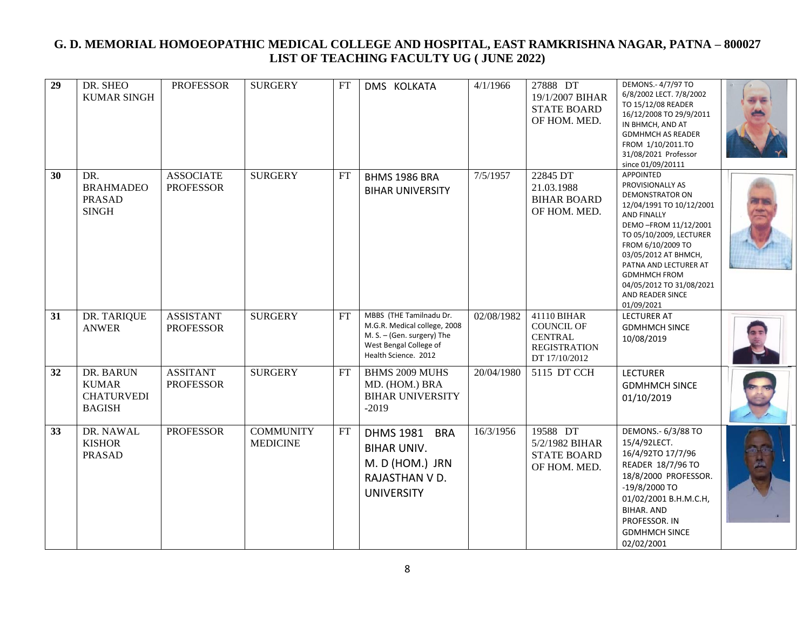| 29 | DR. SHEO<br><b>KUMAR SINGH</b>                                  | <b>PROFESSOR</b>                     | <b>SURGERY</b>                      | FT | DMS KOLKATA                                                                                                                             | 4/1/1966   | 27888 DT<br>19/1/2007 BIHAR<br><b>STATE BOARD</b><br>OF HOM. MED.                          | DEMONS.- 4/7/97 TO<br>6/8/2002 LECT. 7/8/2002<br>TO 15/12/08 READER<br>16/12/2008 TO 29/9/2011<br>IN BHMCH, AND AT<br><b>GDMHMCH AS READER</b><br>FROM 1/10/2011.TO<br>31/08/2021 Professor<br>since 01/09/20111                                                                                                               |  |
|----|-----------------------------------------------------------------|--------------------------------------|-------------------------------------|----|-----------------------------------------------------------------------------------------------------------------------------------------|------------|--------------------------------------------------------------------------------------------|--------------------------------------------------------------------------------------------------------------------------------------------------------------------------------------------------------------------------------------------------------------------------------------------------------------------------------|--|
| 30 | DR.<br><b>BRAHMADEO</b><br><b>PRASAD</b><br><b>SINGH</b>        | <b>ASSOCIATE</b><br><b>PROFESSOR</b> | <b>SURGERY</b>                      | FT | BHMS 1986 BRA<br><b>BIHAR UNIVERSITY</b>                                                                                                | 7/5/1957   | 22845 DT<br>21.03.1988<br><b>BIHAR BOARD</b><br>OF HOM. MED.                               | <b>APPOINTED</b><br>PROVISIONALLY AS<br><b>DEMONSTRATOR ON</b><br>12/04/1991 TO 10/12/2001<br><b>AND FINALLY</b><br>DEMO-FROM 11/12/2001<br>TO 05/10/2009, LECTURER<br>FROM 6/10/2009 TO<br>03/05/2012 AT BHMCH,<br>PATNA AND LECTURER AT<br><b>GDMHMCH FROM</b><br>04/05/2012 TO 31/08/2021<br>AND READER SINCE<br>01/09/2021 |  |
| 31 | DR. TARIQUE<br><b>ANWER</b>                                     | <b>ASSISTANT</b><br><b>PROFESSOR</b> | <b>SURGERY</b>                      | FT | MBBS (THE Tamilnadu Dr.<br>M.G.R. Medical college, 2008<br>M. S. - (Gen. surgery) The<br>West Bengal College of<br>Health Science. 2012 | 02/08/1982 | 41110 BIHAR<br><b>COUNCIL OF</b><br><b>CENTRAL</b><br><b>REGISTRATION</b><br>DT 17/10/2012 | <b>LECTURER AT</b><br><b>GDMHMCH SINCE</b><br>10/08/2019                                                                                                                                                                                                                                                                       |  |
| 32 | DR. BARUN<br><b>KUMAR</b><br><b>CHATURVEDI</b><br><b>BAGISH</b> | <b>ASSITANT</b><br><b>PROFESSOR</b>  | <b>SURGERY</b>                      | FT | BHMS 2009 MUHS<br>MD. (HOM.) BRA<br><b>BIHAR UNIVERSITY</b><br>$-2019$                                                                  | 20/04/1980 | 5115 DT CCH                                                                                | <b>LECTURER</b><br><b>GDMHMCH SINCE</b><br>01/10/2019                                                                                                                                                                                                                                                                          |  |
| 33 | DR. NAWAL<br><b>KISHOR</b><br><b>PRASAD</b>                     | <b>PROFESSOR</b>                     | <b>COMMUNITY</b><br><b>MEDICINE</b> | FT | <b>DHMS 1981</b><br><b>BRA</b><br><b>BIHAR UNIV.</b><br>M. D (HOM.) JRN<br>RAJASTHAN V D.<br><b>UNIVERSITY</b>                          | 16/3/1956  | 19588 DT<br>5/2/1982 BIHAR<br><b>STATE BOARD</b><br>OF HOM. MED.                           | DEMONS .- 6/3/88 TO<br>15/4/92LECT.<br>16/4/92TO 17/7/96<br>READER 18/7/96 TO<br>18/8/2000 PROFESSOR.<br>$-19/8/2000$ TO<br>01/02/2001 B.H.M.C.H,<br><b>BIHAR. AND</b><br>PROFESSOR. IN<br><b>GDMHMCH SINCE</b><br>02/02/2001                                                                                                  |  |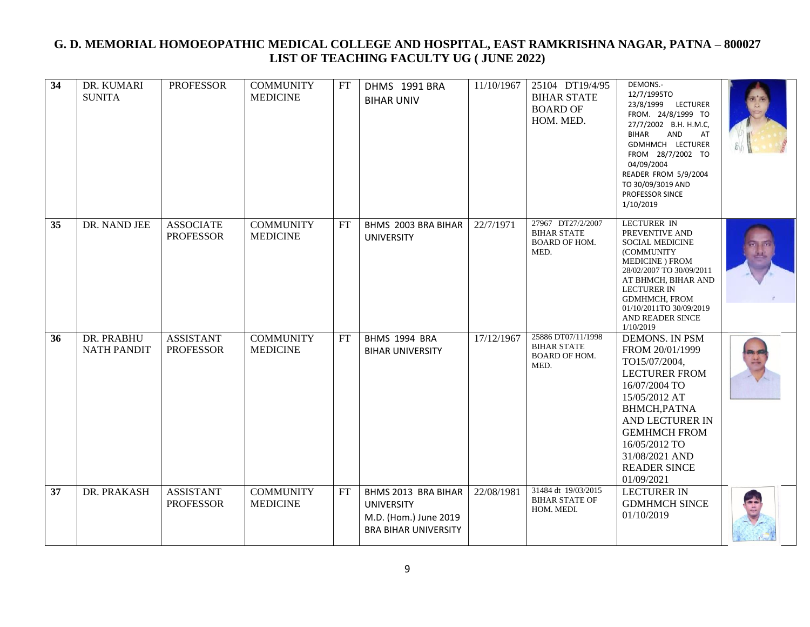| 34 | DR. KUMARI<br><b>SUNITA</b>      | <b>PROFESSOR</b>                     | <b>COMMUNITY</b><br><b>MEDICINE</b> | FT | DHMS 1991 BRA<br><b>BIHAR UNIV</b>                                                               | 11/10/1967 | 25104 DT19/4/95<br><b>BIHAR STATE</b><br><b>BOARD OF</b><br>HOM. MED.    | DEMONS .-<br>12/7/1995TO<br>23/8/1999 LECTURER<br>FROM. 24/8/1999 TO<br>27/7/2002 B.H. H.M.C,<br><b>BIHAR</b><br>AND<br>AT<br>GDMHMCH LECTURER<br>FROM 28/7/2002 TO<br>04/09/2004<br>READER FROM 5/9/2004<br>TO 30/09/3019 AND<br>PROFESSOR SINCE<br>1/10/2019 |  |
|----|----------------------------------|--------------------------------------|-------------------------------------|----|--------------------------------------------------------------------------------------------------|------------|--------------------------------------------------------------------------|----------------------------------------------------------------------------------------------------------------------------------------------------------------------------------------------------------------------------------------------------------------|--|
| 35 | DR. NAND JEE                     | <b>ASSOCIATE</b><br><b>PROFESSOR</b> | <b>COMMUNITY</b><br><b>MEDICINE</b> | FT | BHMS 2003 BRA BIHAR<br><b>UNIVERSITY</b>                                                         | 22/7/1971  | 27967 DT27/2/2007<br><b>BIHAR STATE</b><br><b>BOARD OF HOM.</b><br>MED.  | LECTURER IN<br>PREVENTIVE AND<br><b>SOCIAL MEDICINE</b><br>(COMMUNITY<br>MEDICINE ) FROM<br>28/02/2007 TO 30/09/2011<br>AT BHMCH, BIHAR AND<br><b>LECTURER IN</b><br><b>GDMHMCH, FROM</b><br>01/10/2011TO 30/09/2019<br>AND READER SINCE<br>1/10/2019          |  |
| 36 | DR. PRABHU<br><b>NATH PANDIT</b> | <b>ASSISTANT</b><br><b>PROFESSOR</b> | <b>COMMUNITY</b><br><b>MEDICINE</b> | FT | BHMS 1994 BRA<br><b>BIHAR UNIVERSITY</b>                                                         | 17/12/1967 | 25886 DT07/11/1998<br><b>BIHAR STATE</b><br><b>BOARD OF HOM.</b><br>MED. | <b>DEMONS. IN PSM</b><br>FROM 20/01/1999<br>TO15/07/2004,<br><b>LECTURER FROM</b><br>16/07/2004 TO<br>15/05/2012 AT<br>BHMCH, PATNA<br>AND LECTURER IN<br><b>GEMHMCH FROM</b><br>16/05/2012 TO<br>31/08/2021 AND<br><b>READER SINCE</b><br>01/09/2021          |  |
| 37 | DR. PRAKASH                      | <b>ASSISTANT</b><br><b>PROFESSOR</b> | <b>COMMUNITY</b><br><b>MEDICINE</b> | FT | BHMS 2013 BRA BIHAR<br><b>UNIVERSITY</b><br>M.D. (Hom.) June 2019<br><b>BRA BIHAR UNIVERSITY</b> | 22/08/1981 | 31484 dt 19/03/2015<br><b>BIHAR STATE OF</b><br>HOM. MEDI.               | <b>LECTURER IN</b><br><b>GDMHMCH SINCE</b><br>01/10/2019                                                                                                                                                                                                       |  |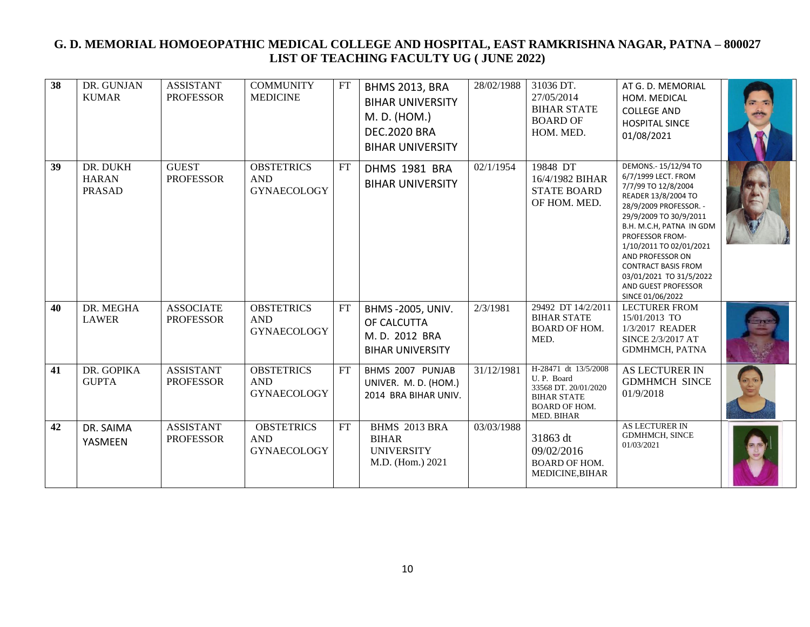| 38 | DR. GUNJAN<br><b>KUMAR</b>                | <b>ASSISTANT</b><br><b>PROFESSOR</b> | <b>COMMUNITY</b><br><b>MEDICINE</b>                   | $\mathop{\rm FT}\nolimits$ | <b>BHMS 2013, BRA</b><br><b>BIHAR UNIVERSITY</b><br>M. D. (HOM.)<br><b>DEC.2020 BRA</b><br><b>BIHAR UNIVERSITY</b> | 28/02/1988 | 31036 DT.<br>27/05/2014<br><b>BIHAR STATE</b><br><b>BOARD OF</b><br>HOM. MED.                                   | AT G. D. MEMORIAL<br>HOM. MEDICAL<br><b>COLLEGE AND</b><br><b>HOSPITAL SINCE</b><br>01/08/2021                                                                                                                                                                                                                                                  |  |
|----|-------------------------------------------|--------------------------------------|-------------------------------------------------------|----------------------------|--------------------------------------------------------------------------------------------------------------------|------------|-----------------------------------------------------------------------------------------------------------------|-------------------------------------------------------------------------------------------------------------------------------------------------------------------------------------------------------------------------------------------------------------------------------------------------------------------------------------------------|--|
| 39 | DR. DUKH<br><b>HARAN</b><br><b>PRASAD</b> | <b>GUEST</b><br><b>PROFESSOR</b>     | <b>OBSTETRICS</b><br><b>AND</b><br><b>GYNAECOLOGY</b> | FT                         | DHMS 1981 BRA<br><b>BIHAR UNIVERSITY</b>                                                                           | 02/1/1954  | 19848 DT<br>16/4/1982 BIHAR<br><b>STATE BOARD</b><br>OF HOM. MED.                                               | DEMONS.- 15/12/94 TO<br>6/7/1999 LECT. FROM<br>7/7/99 TO 12/8/2004<br>READER 13/8/2004 TO<br>28/9/2009 PROFESSOR. -<br>29/9/2009 TO 30/9/2011<br>B.H. M.C.H, PATNA IN GDM<br>PROFESSOR FROM-<br>1/10/2011 TO 02/01/2021<br>AND PROFESSOR ON<br><b>CONTRACT BASIS FROM</b><br>03/01/2021 TO 31/5/2022<br>AND GUEST PROFESSOR<br>SINCE 01/06/2022 |  |
| 40 | DR. MEGHA<br><b>LAWER</b>                 | <b>ASSOCIATE</b><br><b>PROFESSOR</b> | <b>OBSTETRICS</b><br><b>AND</b><br><b>GYNAECOLOGY</b> | FT                         | <b>BHMS-2005, UNIV.</b><br>OF CALCUTTA<br>M.D. 2012 BRA<br><b>BIHAR UNIVERSITY</b>                                 | 2/3/1981   | 29492 DT 14/2/2011<br><b>BIHAR STATE</b><br>BOARD OF HOM.<br>MED.                                               | <b>LECTURER FROM</b><br>15/01/2013 TO<br>1/3/2017 READER<br>SINCE 2/3/2017 AT<br><b>GDMHMCH, PATNA</b>                                                                                                                                                                                                                                          |  |
| 41 | DR. GOPIKA<br><b>GUPTA</b>                | <b>ASSISTANT</b><br><b>PROFESSOR</b> | <b>OBSTETRICS</b><br><b>AND</b><br><b>GYNAECOLOGY</b> | FT                         | BHMS 2007 PUNJAB<br>UNIVER. M. D. (HOM.)<br>2014 BRA BIHAR UNIV.                                                   | 31/12/1981 | H-28471 dt 13/5/2008<br>U.P. Board<br>33568 DT. 20/01/2020<br><b>BIHAR STATE</b><br>BOARD OF HOM.<br>MED. BIHAR | AS LECTURER IN<br><b>GDMHMCH SINCE</b><br>01/9/2018                                                                                                                                                                                                                                                                                             |  |
| 42 | DR. SAIMA<br>YASMEEN                      | <b>ASSISTANT</b><br><b>PROFESSOR</b> | <b>OBSTETRICS</b><br><b>AND</b><br><b>GYNAECOLOGY</b> | FT                         | BHMS 2013 BRA<br><b>BIHAR</b><br><b>UNIVERSITY</b><br>M.D. (Hom.) 2021                                             | 03/03/1988 | 31863 dt<br>09/02/2016<br><b>BOARD OF HOM.</b><br>MEDICINE, BIHAR                                               | <b>AS LECTURER IN</b><br><b>GDMHMCH, SINCE</b><br>01/03/2021                                                                                                                                                                                                                                                                                    |  |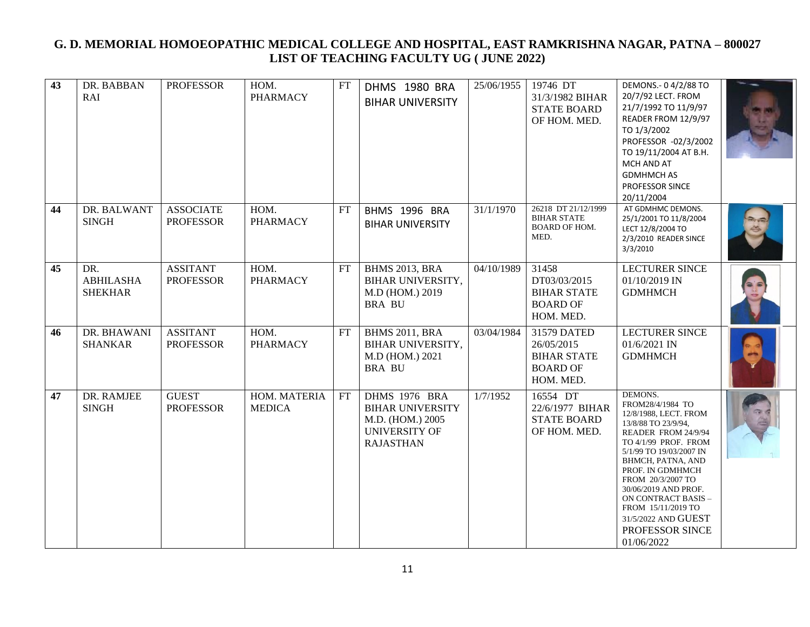| 43 | DR. BABBAN<br>RAI                         | <b>PROFESSOR</b>                     | HOM.<br><b>PHARMACY</b>       | FT | DHMS 1980 BRA<br><b>BIHAR UNIVERSITY</b>                                                                        | 25/06/1955 | 19746 DT<br>31/3/1982 BIHAR<br><b>STATE BOARD</b><br>OF HOM. MED.               | DEMONS .- 0 4/2/88 TO<br>20/7/92 LECT. FROM<br>21/7/1992 TO 11/9/97<br>READER FROM 12/9/97<br>TO 1/3/2002<br>PROFESSOR -02/3/2002<br>TO 19/11/2004 AT B.H.<br>MCH AND AT<br><b>GDMHMCH AS</b><br>PROFESSOR SINCE<br>20/11/2004                                                                                                                   |  |
|----|-------------------------------------------|--------------------------------------|-------------------------------|----|-----------------------------------------------------------------------------------------------------------------|------------|---------------------------------------------------------------------------------|--------------------------------------------------------------------------------------------------------------------------------------------------------------------------------------------------------------------------------------------------------------------------------------------------------------------------------------------------|--|
| 44 | DR. BALWANT<br><b>SINGH</b>               | <b>ASSOCIATE</b><br><b>PROFESSOR</b> | HOM.<br><b>PHARMACY</b>       | FT | BHMS 1996 BRA<br><b>BIHAR UNIVERSITY</b>                                                                        | 31/1/1970  | 26218 DT 21/12/1999<br><b>BIHAR STATE</b><br><b>BOARD OF HOM.</b><br>MED.       | AT GDMHMC DEMONS.<br>25/1/2001 TO 11/8/2004<br>LECT 12/8/2004 TO<br>2/3/2010 READER SINCE<br>3/3/2010                                                                                                                                                                                                                                            |  |
| 45 | DR.<br><b>ABHILASHA</b><br><b>SHEKHAR</b> | <b>ASSITANT</b><br><b>PROFESSOR</b>  | HOM.<br><b>PHARMACY</b>       | FT | <b>BHMS 2013, BRA</b><br>BIHAR UNIVERSITY,<br>M.D (HOM.) 2019<br><b>BRA BU</b>                                  | 04/10/1989 | 31458<br>DT03/03/2015<br><b>BIHAR STATE</b><br><b>BOARD OF</b><br>HOM. MED.     | <b>LECTURER SINCE</b><br>01/10/2019 IN<br><b>GDMHMCH</b>                                                                                                                                                                                                                                                                                         |  |
| 46 | DR. BHAWANI<br><b>SHANKAR</b>             | <b>ASSITANT</b><br><b>PROFESSOR</b>  | HOM.<br><b>PHARMACY</b>       | FT | <b>BHMS 2011, BRA</b><br><b>BIHAR UNIVERSITY,</b><br>M.D (HOM.) 2021<br><b>BRA BU</b>                           | 03/04/1984 | 31579 DATED<br>26/05/2015<br><b>BIHAR STATE</b><br><b>BOARD OF</b><br>HOM. MED. | LECTURER SINCE<br>01/6/2021 IN<br><b>GDMHMCH</b>                                                                                                                                                                                                                                                                                                 |  |
| 47 | DR. RAMJEE<br><b>SINGH</b>                | <b>GUEST</b><br><b>PROFESSOR</b>     | HOM. MATERIA<br><b>MEDICA</b> | FT | <b>DHMS 1976 BRA</b><br><b>BIHAR UNIVERSITY</b><br>M.D. (HOM.) 2005<br><b>UNIVERSITY OF</b><br><b>RAJASTHAN</b> | 1/7/1952   | 16554 DT<br>22/6/1977 BIHAR<br><b>STATE BOARD</b><br>OF HOM. MED.               | DEMONS.<br>FROM28/4/1984 TO<br>12/8/1988, LECT. FROM<br>13/8/88 TO 23/9/94,<br>READER FROM 24/9/94<br>TO 4/1/99 PROF. FROM<br>5/1/99 TO 19/03/2007 IN<br>BHMCH, PATNA, AND<br>PROF. IN GDMHMCH<br>FROM 20/3/2007 TO<br>30/06/2019 AND PROF.<br>ON CONTRACT BASIS -<br>FROM 15/11/2019 TO<br>31/5/2022 AND GUEST<br>PROFESSOR SINCE<br>01/06/2022 |  |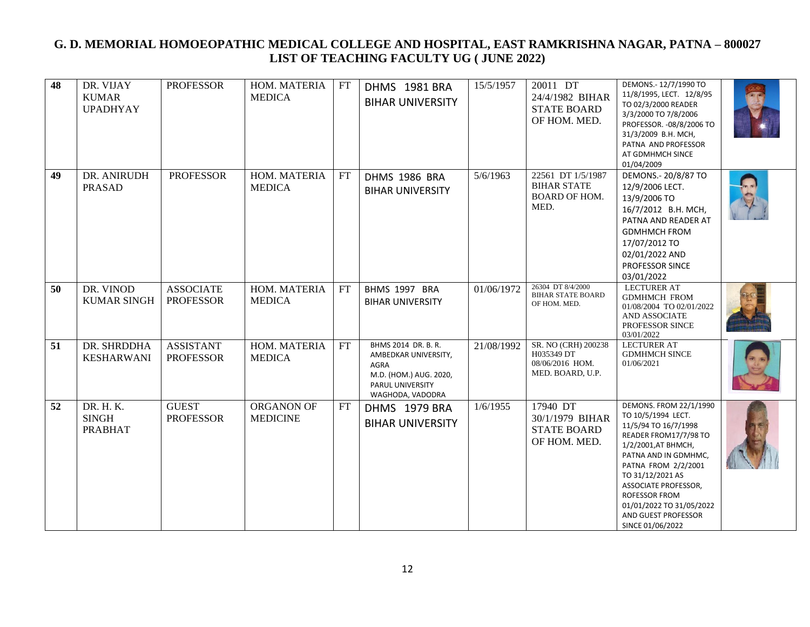| 48 | DR. VIJAY<br><b>KUMAR</b><br><b>UPADHYAY</b> | <b>PROFESSOR</b>                     | HOM. MATERIA<br><b>MEDICA</b> | FT        | DHMS 1981 BRA<br><b>BIHAR UNIVERSITY</b>                                                                              | 15/5/1957  | 20011 DT<br>24/4/1982 BIHAR<br><b>STATE BOARD</b><br>OF HOM. MED.        | DEMONS.- 12/7/1990 TO<br>11/8/1995, LECT. 12/8/95<br>TO 02/3/2000 READER<br>3/3/2000 TO 7/8/2006<br>PROFESSOR. - 08/8/2006 TO<br>31/3/2009 B.H. MCH,<br>PATNA AND PROFESSOR<br>AT GDMHMCH SINCE<br>01/04/2009                                                                                           |  |
|----|----------------------------------------------|--------------------------------------|-------------------------------|-----------|-----------------------------------------------------------------------------------------------------------------------|------------|--------------------------------------------------------------------------|---------------------------------------------------------------------------------------------------------------------------------------------------------------------------------------------------------------------------------------------------------------------------------------------------------|--|
| 49 | DR. ANIRUDH<br><b>PRASAD</b>                 | <b>PROFESSOR</b>                     | HOM. MATERIA<br><b>MEDICA</b> | FT        | DHMS 1986 BRA<br><b>BIHAR UNIVERSITY</b>                                                                              | 5/6/1963   | 22561 DT 1/5/1987<br><b>BIHAR STATE</b><br>BOARD OF HOM.<br>MED.         | DEMONS.- 20/8/87 TO<br>12/9/2006 LECT.<br>13/9/2006 TO<br>16/7/2012 B.H. MCH,<br>PATNA AND READER AT<br><b>GDMHMCH FROM</b><br>17/07/2012 TO<br>02/01/2022 AND<br>PROFESSOR SINCE<br>03/01/2022                                                                                                         |  |
| 50 | DR. VINOD<br><b>KUMAR SINGH</b>              | <b>ASSOCIATE</b><br><b>PROFESSOR</b> | HOM. MATERIA<br><b>MEDICA</b> | FT        | BHMS 1997 BRA<br><b>BIHAR UNIVERSITY</b>                                                                              | 01/06/1972 | 26304 DT 8/4/2000<br><b>BIHAR STATE BOARD</b><br>OF HOM. MED.            | <b>LECTURER AT</b><br><b>GDMHMCH FROM</b><br>01/08/2004 TO 02/01/2022<br>AND ASSOCIATE<br>PROFESSOR SINCE<br>03/01/2022                                                                                                                                                                                 |  |
| 51 | DR. SHRDDHA<br><b>KESHARWANI</b>             | <b>ASSISTANT</b><br><b>PROFESSOR</b> | HOM. MATERIA<br><b>MEDICA</b> | <b>FT</b> | BHMS 2014 DR. B. R.<br>AMBEDKAR UNIVERSITY,<br>AGRA<br>M.D. (HOM.) AUG. 2020,<br>PARUL UNIVERSITY<br>WAGHODA, VADODRA | 21/08/1992 | SR. NO (CRH) 200238<br>H035349 DT<br>08/06/2016 HOM.<br>MED. BOARD, U.P. | LECTURER AT<br><b>GDMHMCH SINCE</b><br>01/06/2021                                                                                                                                                                                                                                                       |  |
| 52 | DR. H. K.<br><b>SINGH</b><br><b>PRABHAT</b>  | <b>GUEST</b><br><b>PROFESSOR</b>     | ORGANON OF<br><b>MEDICINE</b> | FT        | DHMS 1979 BRA<br><b>BIHAR UNIVERSITY</b>                                                                              | 1/6/1955   | 17940 DT<br>30/1/1979 BIHAR<br><b>STATE BOARD</b><br>OF HOM. MED.        | DEMONS. FROM 22/1/1990<br>TO 10/5/1994 LECT.<br>11/5/94 TO 16/7/1998<br>READER FROM17/7/98 TO<br>1/2/2001, AT BHMCH,<br>PATNA AND IN GDMHMC,<br>PATNA FROM 2/2/2001<br>TO 31/12/2021 AS<br>ASSOCIATE PROFESSOR,<br>ROFESSOR FROM<br>01/01/2022 TO 31/05/2022<br>AND GUEST PROFESSOR<br>SINCE 01/06/2022 |  |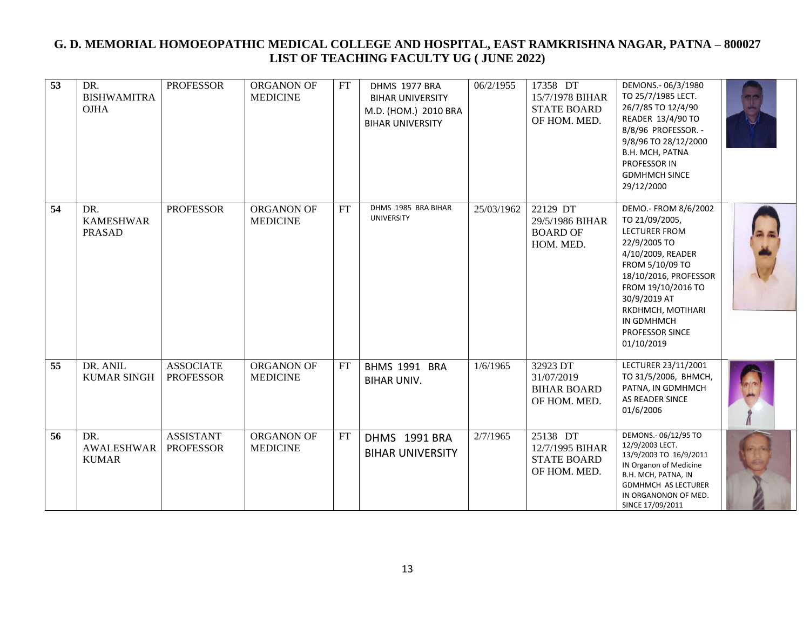| 53 | DR.<br><b>BISHWAMITRA</b><br><b>OJHA</b> | <b>PROFESSOR</b>                     | ORGANON OF<br><b>MEDICINE</b> | FT | DHMS 1977 BRA<br><b>BIHAR UNIVERSITY</b><br>M.D. (HOM.) 2010 BRA<br><b>BIHAR UNIVERSITY</b> | 06/2/1955  | 17358 DT<br>15/7/1978 BIHAR<br><b>STATE BOARD</b><br>OF HOM. MED. | DEMONS.-06/3/1980<br>TO 25/7/1985 LECT.<br>26/7/85 TO 12/4/90<br>READER 13/4/90 TO<br>8/8/96 PROFESSOR. -<br>9/8/96 TO 28/12/2000<br>B.H. MCH, PATNA<br>PROFESSOR IN<br><b>GDMHMCH SINCE</b><br>29/12/2000                                                |  |
|----|------------------------------------------|--------------------------------------|-------------------------------|----|---------------------------------------------------------------------------------------------|------------|-------------------------------------------------------------------|-----------------------------------------------------------------------------------------------------------------------------------------------------------------------------------------------------------------------------------------------------------|--|
| 54 | DR.<br><b>KAMESHWAR</b><br><b>PRASAD</b> | <b>PROFESSOR</b>                     | ORGANON OF<br><b>MEDICINE</b> | FT | DHMS 1985 BRA BIHAR<br><b>UNIVERSITY</b>                                                    | 25/03/1962 | 22129 DT<br>29/5/1986 BIHAR<br><b>BOARD OF</b><br>HOM. MED.       | DEMO.- FROM 8/6/2002<br>TO 21/09/2005,<br>LECTURER FROM<br>22/9/2005 TO<br>4/10/2009, READER<br>FROM 5/10/09 TO<br>18/10/2016, PROFESSOR<br>FROM 19/10/2016 TO<br>30/9/2019 AT<br>RKDHMCH, MOTIHARI<br>IN GDMHMCH<br><b>PROFESSOR SINCE</b><br>01/10/2019 |  |
| 55 | DR. ANIL<br><b>KUMAR SINGH</b>           | <b>ASSOCIATE</b><br><b>PROFESSOR</b> | ORGANON OF<br><b>MEDICINE</b> | FT | BHMS 1991 BRA<br><b>BIHAR UNIV.</b>                                                         | 1/6/1965   | 32923 DT<br>31/07/2019<br><b>BIHAR BOARD</b><br>OF HOM. MED.      | LECTURER 23/11/2001<br>ТО 31/5/2006, ВНМСН,<br>PATNA, IN GDMHMCH<br>AS READER SINCE<br>01/6/2006                                                                                                                                                          |  |
| 56 | DR.<br><b>AWALESHWAR</b><br><b>KUMAR</b> | <b>ASSISTANT</b><br><b>PROFESSOR</b> | ORGANON OF<br><b>MEDICINE</b> | FT | DHMS 1991 BRA<br><b>BIHAR UNIVERSITY</b>                                                    | 2/7/1965   | 25138 DT<br>12/7/1995 BIHAR<br><b>STATE BOARD</b><br>OF HOM. MED. | DEMONS .- 06/12/95 TO<br>12/9/2003 LECT.<br>13/9/2003 TO 16/9/2011<br>IN Organon of Medicine<br>B.H. MCH, PATNA, IN<br><b>GDMHMCH AS LECTURER</b><br>IN ORGANONON OF MED.<br>SINCE 17/09/2011                                                             |  |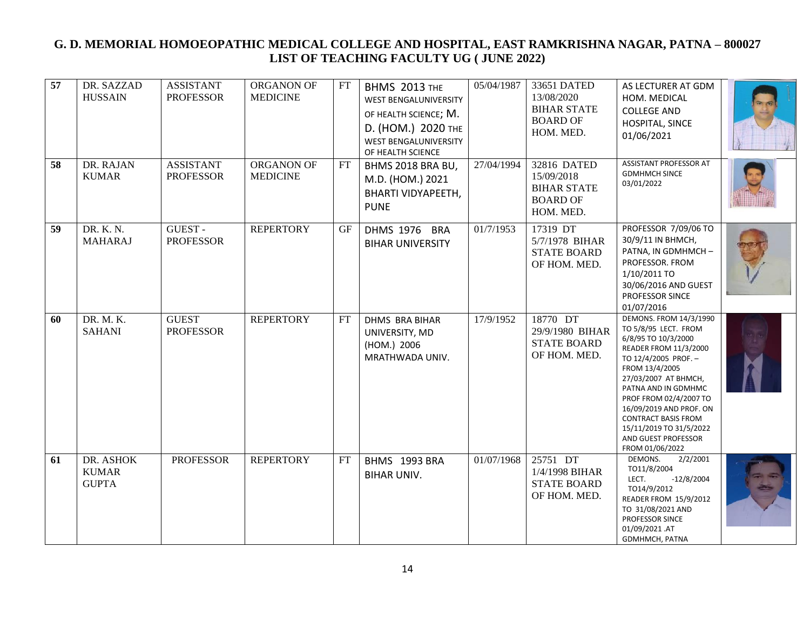| 57 | DR. SAZZAD<br><b>HUSSAIN</b>              | <b>ASSISTANT</b><br><b>PROFESSOR</b> | ORGANON OF<br><b>MEDICINE</b> | FT | <b>BHMS 2013 THE</b><br><b>WEST BENGALUNIVERSITY</b><br>OF HEALTH SCIENCE; M.<br>D. (HOM.) 2020 THE<br>WEST BENGALUNIVERSITY<br>OF HEALTH SCIENCE | 05/04/1987 | 33651 DATED<br>13/08/2020<br><b>BIHAR STATE</b><br><b>BOARD OF</b><br>HOM. MED. | AS LECTURER AT GDM<br>HOM. MEDICAL<br><b>COLLEGE AND</b><br>HOSPITAL, SINCE<br>01/06/2021                                                                                                                                                                                                                                                       |  |
|----|-------------------------------------------|--------------------------------------|-------------------------------|----|---------------------------------------------------------------------------------------------------------------------------------------------------|------------|---------------------------------------------------------------------------------|-------------------------------------------------------------------------------------------------------------------------------------------------------------------------------------------------------------------------------------------------------------------------------------------------------------------------------------------------|--|
| 58 | DR. RAJAN<br><b>KUMAR</b>                 | <b>ASSISTANT</b><br><b>PROFESSOR</b> | ORGANON OF<br><b>MEDICINE</b> | FT | BHMS 2018 BRA BU,<br>M.D. (HOM.) 2021<br><b>BHARTI VIDYAPEETH,</b><br><b>PUNE</b>                                                                 | 27/04/1994 | 32816 DATED<br>15/09/2018<br><b>BIHAR STATE</b><br><b>BOARD OF</b><br>HOM. MED. | <b>ASSISTANT PROFESSOR AT</b><br><b>GDMHMCH SINCE</b><br>03/01/2022                                                                                                                                                                                                                                                                             |  |
| 59 | DR. K. N.<br><b>MAHARAJ</b>               | <b>GUEST-</b><br><b>PROFESSOR</b>    | <b>REPERTORY</b>              | GF | DHMS 1976 BRA<br><b>BIHAR UNIVERSITY</b>                                                                                                          | 01/7/1953  | 17319 DT<br>5/7/1978 BIHAR<br><b>STATE BOARD</b><br>OF HOM. MED.                | PROFESSOR 7/09/06 TO<br>30/9/11 IN BHMCH,<br>PATNA, IN GDMHMCH-<br>PROFESSOR. FROM<br>1/10/2011 TO<br>30/06/2016 AND GUEST<br>PROFESSOR SINCE<br>01/07/2016                                                                                                                                                                                     |  |
| 60 | DR. M. K.<br><b>SAHANI</b>                | <b>GUEST</b><br><b>PROFESSOR</b>     | <b>REPERTORY</b>              | FT | <b>DHMS BRA BIHAR</b><br>UNIVERSITY, MD<br>(HOM.) 2006<br>MRATHWADA UNIV.                                                                         | 17/9/1952  | $18770$ DT<br>29/9/1980 BIHAR<br><b>STATE BOARD</b><br>OF HOM. MED.             | DEMONS. FROM 14/3/1990<br>TO 5/8/95 LECT. FROM<br>6/8/95 TO 10/3/2000<br>READER FROM 11/3/2000<br>TO 12/4/2005 PROF. -<br>FROM 13/4/2005<br>27/03/2007 AT BHMCH,<br>PATNA AND IN GDMHMC<br>PROF FROM 02/4/2007 TO<br>16/09/2019 AND PROF. ON<br><b>CONTRACT BASIS FROM</b><br>15/11/2019 TO 31/5/2022<br>AND GUEST PROFESSOR<br>FROM 01/06/2022 |  |
| 61 | DR. ASHOK<br><b>KUMAR</b><br><b>GUPTA</b> | <b>PROFESSOR</b>                     | <b>REPERTORY</b>              | FT | BHMS 1993 BRA<br><b>BIHAR UNIV.</b>                                                                                                               | 01/07/1968 | 25751 DT<br>1/4/1998 BIHAR<br><b>STATE BOARD</b><br>OF HOM. MED.                | 2/2/2001<br>DEMONS.<br>TO11/8/2004<br>LECT.<br>$-12/8/2004$<br>TO14/9/2012<br>READER FROM 15/9/2012<br>TO 31/08/2021 AND<br>PROFESSOR SINCE<br>01/09/2021.AT<br>GDMHMCH, PATNA                                                                                                                                                                  |  |